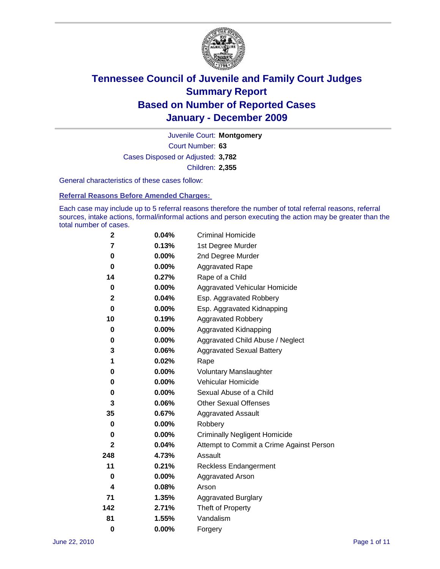

Court Number: **63** Juvenile Court: **Montgomery** Cases Disposed or Adjusted: **3,782** Children: **2,355**

General characteristics of these cases follow:

**Referral Reasons Before Amended Charges:** 

Each case may include up to 5 referral reasons therefore the number of total referral reasons, referral sources, intake actions, formal/informal actions and person executing the action may be greater than the total number of cases.

| $\mathbf{2}$ | 0.04%    | <b>Criminal Homicide</b>                 |
|--------------|----------|------------------------------------------|
| 7            | 0.13%    | 1st Degree Murder                        |
| 0            | $0.00\%$ | 2nd Degree Murder                        |
| 0            | $0.00\%$ | <b>Aggravated Rape</b>                   |
| 14           | 0.27%    | Rape of a Child                          |
| 0            | 0.00%    | Aggravated Vehicular Homicide            |
| 2            | 0.04%    | Esp. Aggravated Robbery                  |
| 0            | $0.00\%$ | Esp. Aggravated Kidnapping               |
| 10           | 0.19%    | <b>Aggravated Robbery</b>                |
| 0            | $0.00\%$ | Aggravated Kidnapping                    |
| 0            | $0.00\%$ | Aggravated Child Abuse / Neglect         |
| 3            | 0.06%    | <b>Aggravated Sexual Battery</b>         |
| 1            | 0.02%    | Rape                                     |
| 0            | $0.00\%$ | <b>Voluntary Manslaughter</b>            |
| 0            | 0.00%    | Vehicular Homicide                       |
| 0            | 0.00%    | Sexual Abuse of a Child                  |
| 3            | 0.06%    | <b>Other Sexual Offenses</b>             |
| 35           | 0.67%    | <b>Aggravated Assault</b>                |
| 0            | $0.00\%$ | Robbery                                  |
| 0            | 0.00%    | <b>Criminally Negligent Homicide</b>     |
| $\mathbf{2}$ | 0.04%    | Attempt to Commit a Crime Against Person |
| 248          | 4.73%    | Assault                                  |
| 11           | 0.21%    | <b>Reckless Endangerment</b>             |
| 0            | 0.00%    | <b>Aggravated Arson</b>                  |
| 4            | 0.08%    | Arson                                    |
| 71           | 1.35%    | <b>Aggravated Burglary</b>               |
| 142          | 2.71%    | Theft of Property                        |
| 81           | 1.55%    | Vandalism                                |
| $\bf{0}$     | 0.00%    | Forgery                                  |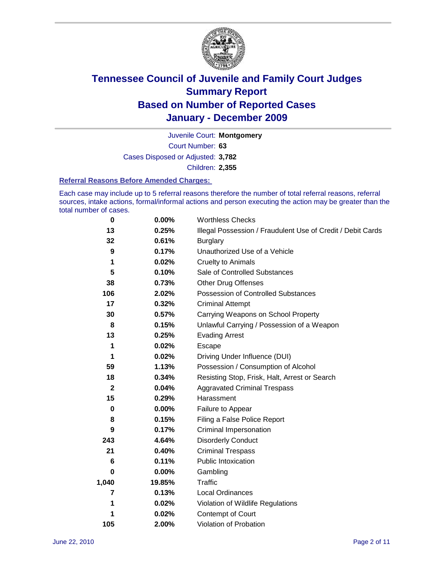

Court Number: **63** Juvenile Court: **Montgomery** Cases Disposed or Adjusted: **3,782** Children: **2,355**

#### **Referral Reasons Before Amended Charges:**

Each case may include up to 5 referral reasons therefore the number of total referral reasons, referral sources, intake actions, formal/informal actions and person executing the action may be greater than the total number of cases.

| 0            | 0.00%  | <b>Worthless Checks</b>                                     |
|--------------|--------|-------------------------------------------------------------|
| 13           | 0.25%  | Illegal Possession / Fraudulent Use of Credit / Debit Cards |
| 32           | 0.61%  | <b>Burglary</b>                                             |
| 9            | 0.17%  | Unauthorized Use of a Vehicle                               |
| 1            | 0.02%  | <b>Cruelty to Animals</b>                                   |
| 5            | 0.10%  | Sale of Controlled Substances                               |
| 38           | 0.73%  | <b>Other Drug Offenses</b>                                  |
| 106          | 2.02%  | Possession of Controlled Substances                         |
| 17           | 0.32%  | <b>Criminal Attempt</b>                                     |
| 30           | 0.57%  | Carrying Weapons on School Property                         |
| 8            | 0.15%  | Unlawful Carrying / Possession of a Weapon                  |
| 13           | 0.25%  | <b>Evading Arrest</b>                                       |
| 1            | 0.02%  | Escape                                                      |
| 1            | 0.02%  | Driving Under Influence (DUI)                               |
| 59           | 1.13%  | Possession / Consumption of Alcohol                         |
| 18           | 0.34%  | Resisting Stop, Frisk, Halt, Arrest or Search               |
| $\mathbf{2}$ | 0.04%  | <b>Aggravated Criminal Trespass</b>                         |
| 15           | 0.29%  | Harassment                                                  |
| 0            | 0.00%  | Failure to Appear                                           |
| 8            | 0.15%  | Filing a False Police Report                                |
| 9            | 0.17%  | Criminal Impersonation                                      |
| 243          | 4.64%  | <b>Disorderly Conduct</b>                                   |
| 21           | 0.40%  | <b>Criminal Trespass</b>                                    |
| 6            | 0.11%  | <b>Public Intoxication</b>                                  |
| 0            | 0.00%  | Gambling                                                    |
| 1,040        | 19.85% | <b>Traffic</b>                                              |
| 7            | 0.13%  | Local Ordinances                                            |
| 1            | 0.02%  | Violation of Wildlife Regulations                           |
| 1            | 0.02%  | Contempt of Court                                           |
| 105          | 2.00%  | Violation of Probation                                      |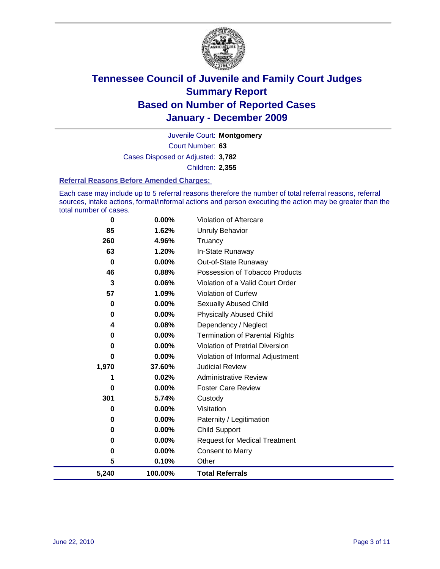

Court Number: **63** Juvenile Court: **Montgomery** Cases Disposed or Adjusted: **3,782** Children: **2,355**

#### **Referral Reasons Before Amended Charges:**

Each case may include up to 5 referral reasons therefore the number of total referral reasons, referral sources, intake actions, formal/informal actions and person executing the action may be greater than the total number of cases.

| 0        | 0.00%    | Violation of Aftercare                 |
|----------|----------|----------------------------------------|
| 85       | 1.62%    | <b>Unruly Behavior</b>                 |
| 260      | 4.96%    | Truancy                                |
| 63       | 1.20%    | In-State Runaway                       |
| $\bf{0}$ | 0.00%    | Out-of-State Runaway                   |
| 46       | 0.88%    | Possession of Tobacco Products         |
| 3        | 0.06%    | Violation of a Valid Court Order       |
| 57       | 1.09%    | Violation of Curfew                    |
| 0        | $0.00\%$ | <b>Sexually Abused Child</b>           |
| 0        | 0.00%    | <b>Physically Abused Child</b>         |
| 4        | 0.08%    | Dependency / Neglect                   |
| 0        | 0.00%    | <b>Termination of Parental Rights</b>  |
| 0        | 0.00%    | <b>Violation of Pretrial Diversion</b> |
| 0        | 0.00%    | Violation of Informal Adjustment       |
| 1,970    | 37.60%   | <b>Judicial Review</b>                 |
| 1        | 0.02%    | <b>Administrative Review</b>           |
| 0        | 0.00%    | <b>Foster Care Review</b>              |
| 301      | 5.74%    | Custody                                |
| 0        | 0.00%    | Visitation                             |
| 0        | 0.00%    | Paternity / Legitimation               |
| 0        | 0.00%    | <b>Child Support</b>                   |
| 0        | 0.00%    | <b>Request for Medical Treatment</b>   |
| 0        | 0.00%    | <b>Consent to Marry</b>                |
| 5        | 0.10%    | Other                                  |
| 5,240    | 100.00%  | <b>Total Referrals</b>                 |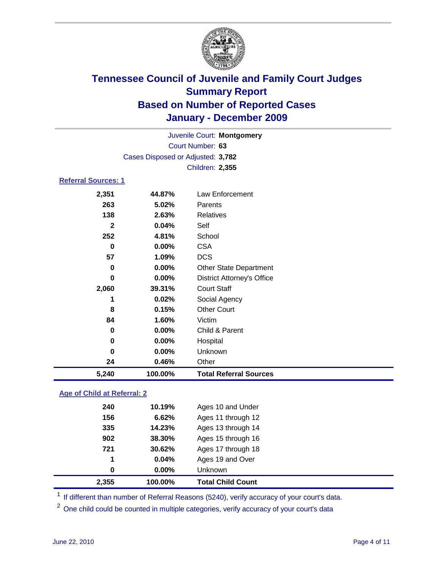

|                            | Juvenile Court: Montgomery        |                                   |  |  |
|----------------------------|-----------------------------------|-----------------------------------|--|--|
|                            | Court Number: 63                  |                                   |  |  |
|                            | Cases Disposed or Adjusted: 3,782 |                                   |  |  |
| Children: 2,355            |                                   |                                   |  |  |
| <b>Referral Sources: 1</b> |                                   |                                   |  |  |
| 2,351                      | 44.87%                            | Law Enforcement                   |  |  |
| 263                        | 5.02%                             | Parents                           |  |  |
| 138                        | 2.63%                             | <b>Relatives</b>                  |  |  |
| $\mathbf{2}$               | 0.04%                             | Self                              |  |  |
| 252                        | 4.81%                             | School                            |  |  |
| $\bf{0}$                   | 0.00%                             | <b>CSA</b>                        |  |  |
| 57                         | 1.09%                             | <b>DCS</b>                        |  |  |
| 0                          | 0.00%                             | <b>Other State Department</b>     |  |  |
| 0                          | 0.00%                             | <b>District Attorney's Office</b> |  |  |
| 2,060                      | 39.31%                            | <b>Court Staff</b>                |  |  |
| 1                          | 0.02%                             | Social Agency                     |  |  |
| 8                          | 0.15%                             | <b>Other Court</b>                |  |  |
| 84                         | 1.60%                             | Victim                            |  |  |
| 0                          | 0.00%                             | Child & Parent                    |  |  |
| 0                          | 0.00%                             | Hospital                          |  |  |
| 0                          | 0.00%                             | Unknown                           |  |  |
| 24                         | 0.46%                             | Other                             |  |  |
| 5,240                      | 100.00%                           | <b>Total Referral Sources</b>     |  |  |
|                            |                                   |                                   |  |  |

### **Age of Child at Referral: 2**

| 2,355 | 100.00% | <b>Total Child Count</b> |
|-------|---------|--------------------------|
| 0     | 0.00%   | Unknown                  |
| 1     | 0.04%   | Ages 19 and Over         |
| 721   | 30.62%  | Ages 17 through 18       |
| 902   | 38.30%  | Ages 15 through 16       |
| 335   | 14.23%  | Ages 13 through 14       |
| 156   | 6.62%   | Ages 11 through 12       |
| 240   | 10.19%  | Ages 10 and Under        |
|       |         |                          |

<sup>1</sup> If different than number of Referral Reasons (5240), verify accuracy of your court's data.

<sup>2</sup> One child could be counted in multiple categories, verify accuracy of your court's data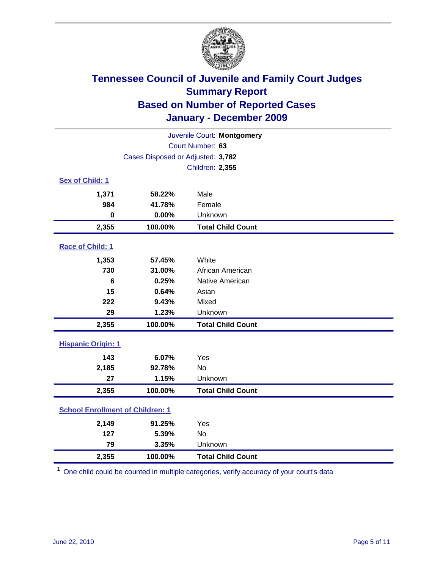

| Juvenile Court: Montgomery              |                                   |                          |  |  |  |
|-----------------------------------------|-----------------------------------|--------------------------|--|--|--|
| Court Number: 63                        |                                   |                          |  |  |  |
|                                         | Cases Disposed or Adjusted: 3,782 |                          |  |  |  |
|                                         | <b>Children: 2,355</b>            |                          |  |  |  |
| Sex of Child: 1                         |                                   |                          |  |  |  |
| 1,371                                   | 58.22%                            | Male                     |  |  |  |
| 984                                     | 41.78%                            | Female                   |  |  |  |
| $\mathbf 0$                             | 0.00%                             | Unknown                  |  |  |  |
| 2,355                                   | 100.00%                           | <b>Total Child Count</b> |  |  |  |
| Race of Child: 1                        |                                   |                          |  |  |  |
| 1,353                                   | 57.45%                            | White                    |  |  |  |
| 730                                     | 31.00%                            | African American         |  |  |  |
| 6                                       | 0.25%                             | Native American          |  |  |  |
| 15                                      | 0.64%                             | Asian                    |  |  |  |
| 222                                     | 9.43%                             | Mixed                    |  |  |  |
| 29                                      | 1.23%                             | Unknown                  |  |  |  |
| 2,355                                   | 100.00%                           | <b>Total Child Count</b> |  |  |  |
| <b>Hispanic Origin: 1</b>               |                                   |                          |  |  |  |
| 143                                     | 6.07%                             | Yes                      |  |  |  |
| 2,185                                   | 92.78%                            | <b>No</b>                |  |  |  |
| 27                                      | 1.15%                             | Unknown                  |  |  |  |
| 2,355                                   | 100.00%                           | <b>Total Child Count</b> |  |  |  |
| <b>School Enrollment of Children: 1</b> |                                   |                          |  |  |  |
| 2,149                                   | 91.25%                            | Yes                      |  |  |  |
| 127                                     | 5.39%                             | No                       |  |  |  |
| 79                                      | 3.35%                             | Unknown                  |  |  |  |
| 2,355                                   | 100.00%                           | <b>Total Child Count</b> |  |  |  |

<sup>1</sup> One child could be counted in multiple categories, verify accuracy of your court's data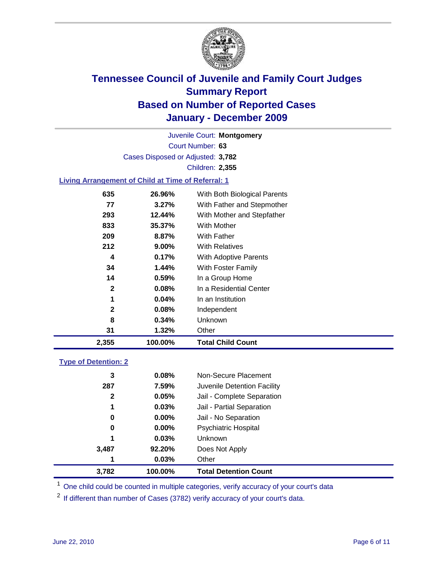

Court Number: **63** Juvenile Court: **Montgomery** Cases Disposed or Adjusted: **3,782** Children: **2,355**

### **Living Arrangement of Child at Time of Referral: 1**

| 2,355        | 100.00%  | Total Child Count            |  |
|--------------|----------|------------------------------|--|
| 31           | 1.32%    | Other                        |  |
| 8            | 0.34%    | Unknown                      |  |
| $\mathbf{2}$ | 0.08%    | Independent                  |  |
| 1            | $0.04\%$ | In an Institution            |  |
| $\mathbf{2}$ | 0.08%    | In a Residential Center      |  |
| 14           | $0.59\%$ | In a Group Home              |  |
| 34           | 1.44%    | With Foster Family           |  |
| 4            | $0.17\%$ | With Adoptive Parents        |  |
| 212          | $9.00\%$ | <b>With Relatives</b>        |  |
| 209          | 8.87%    | With Father                  |  |
| 833          | 35.37%   | With Mother                  |  |
| 293          | 12.44%   | With Mother and Stepfather   |  |
| 77           | 3.27%    | With Father and Stepmother   |  |
| 635          | 26.96%   | With Both Biological Parents |  |
|              |          |                              |  |

#### **Type of Detention: 2**

| 3,782        | 100.00% | <b>Total Detention Count</b> |  |
|--------------|---------|------------------------------|--|
| 1            | 0.03%   | Other                        |  |
| 3,487        | 92.20%  | Does Not Apply               |  |
| 1            | 0.03%   | Unknown                      |  |
| 0            | 0.00%   | <b>Psychiatric Hospital</b>  |  |
| 0            | 0.00%   | Jail - No Separation         |  |
| 1            | 0.03%   | Jail - Partial Separation    |  |
| $\mathbf{2}$ | 0.05%   | Jail - Complete Separation   |  |
| 287          | 7.59%   | Juvenile Detention Facility  |  |
| 3            | 0.08%   | Non-Secure Placement         |  |
|              |         |                              |  |

<sup>1</sup> One child could be counted in multiple categories, verify accuracy of your court's data

<sup>2</sup> If different than number of Cases (3782) verify accuracy of your court's data.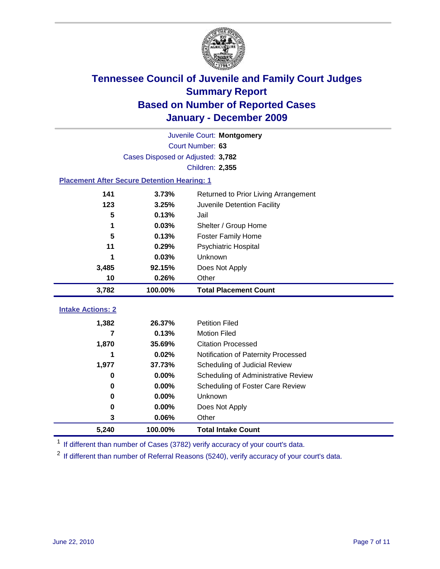

| Juvenile Court: Montgomery                         |                                   |                                      |  |  |  |
|----------------------------------------------------|-----------------------------------|--------------------------------------|--|--|--|
|                                                    | Court Number: 63                  |                                      |  |  |  |
|                                                    | Cases Disposed or Adjusted: 3,782 |                                      |  |  |  |
|                                                    |                                   | Children: 2,355                      |  |  |  |
| <b>Placement After Secure Detention Hearing: 1</b> |                                   |                                      |  |  |  |
| 141                                                | 3.73%                             | Returned to Prior Living Arrangement |  |  |  |
| 123                                                | 3.25%                             | Juvenile Detention Facility          |  |  |  |
| 5                                                  | 0.13%                             | Jail                                 |  |  |  |
| 1                                                  | 0.03%                             | Shelter / Group Home                 |  |  |  |
| 5                                                  | 0.13%                             | <b>Foster Family Home</b>            |  |  |  |
| 11                                                 | 0.29%                             | Psychiatric Hospital                 |  |  |  |
| 1                                                  | 0.03%                             | Unknown                              |  |  |  |
| 3,485                                              | 92.15%                            | Does Not Apply                       |  |  |  |
| 10                                                 | 0.26%                             | Other                                |  |  |  |
|                                                    |                                   |                                      |  |  |  |
| 3,782                                              | 100.00%                           | <b>Total Placement Count</b>         |  |  |  |
| <b>Intake Actions: 2</b>                           |                                   |                                      |  |  |  |
| 1,382                                              | 26.37%                            | <b>Petition Filed</b>                |  |  |  |
| 7                                                  | 0.13%                             | <b>Motion Filed</b>                  |  |  |  |
| 1,870                                              | 35.69%                            | <b>Citation Processed</b>            |  |  |  |
|                                                    | 0.02%                             | Notification of Paternity Processed  |  |  |  |
| 1,977                                              | 37.73%                            | Scheduling of Judicial Review        |  |  |  |
| $\bf{0}$                                           | 0.00%                             | Scheduling of Administrative Review  |  |  |  |
| 0                                                  | 0.00%                             | Scheduling of Foster Care Review     |  |  |  |
| 0                                                  | 0.00%                             | Unknown                              |  |  |  |
| 0                                                  | 0.00%                             | Does Not Apply                       |  |  |  |
| 3                                                  | 0.06%                             | Other                                |  |  |  |

<sup>1</sup> If different than number of Cases (3782) verify accuracy of your court's data.

<sup>2</sup> If different than number of Referral Reasons (5240), verify accuracy of your court's data.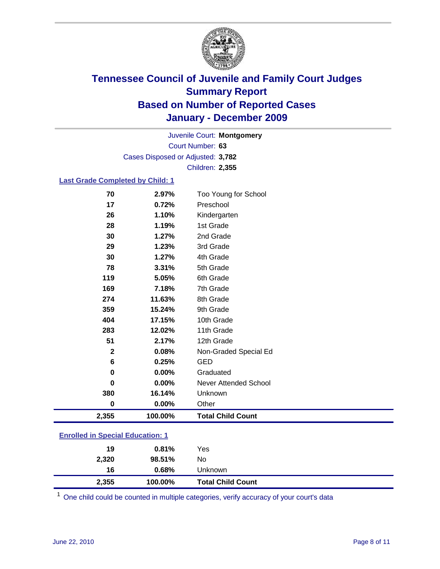

Court Number: **63** Juvenile Court: **Montgomery** Cases Disposed or Adjusted: **3,782** Children: **2,355**

### **Last Grade Completed by Child: 1**

| 70                                      | 2.97%   | Too Young for School         |  |
|-----------------------------------------|---------|------------------------------|--|
| 17                                      | 0.72%   | Preschool                    |  |
| 26                                      | 1.10%   | Kindergarten                 |  |
| 28                                      | 1.19%   | 1st Grade                    |  |
| 30                                      | 1.27%   | 2nd Grade                    |  |
| 29                                      | 1.23%   | 3rd Grade                    |  |
| 30                                      | 1.27%   | 4th Grade                    |  |
| 78                                      | 3.31%   | 5th Grade                    |  |
| 119                                     | 5.05%   | 6th Grade                    |  |
| 169                                     | 7.18%   | 7th Grade                    |  |
| 274                                     | 11.63%  | 8th Grade                    |  |
| 359                                     | 15.24%  | 9th Grade                    |  |
| 404                                     | 17.15%  | 10th Grade                   |  |
| 283                                     | 12.02%  | 11th Grade                   |  |
| 51                                      | 2.17%   | 12th Grade                   |  |
| 2                                       | 0.08%   | Non-Graded Special Ed        |  |
| 6                                       | 0.25%   | GED                          |  |
| 0                                       | 0.00%   | Graduated                    |  |
| 0                                       | 0.00%   | <b>Never Attended School</b> |  |
| 380                                     | 16.14%  | Unknown                      |  |
| 0                                       | 0.00%   | Other                        |  |
| 2,355                                   | 100.00% | <b>Total Child Count</b>     |  |
| <b>Enrolled in Special Education: 1</b> |         |                              |  |

| 2,355 | 100.00% | <b>Total Child Count</b> |
|-------|---------|--------------------------|
| 16    | 0.68%   | Unknown                  |
| 2,320 | 98.51%  | No.                      |
| 19    | 0.81%   | Yes                      |
|       |         |                          |

One child could be counted in multiple categories, verify accuracy of your court's data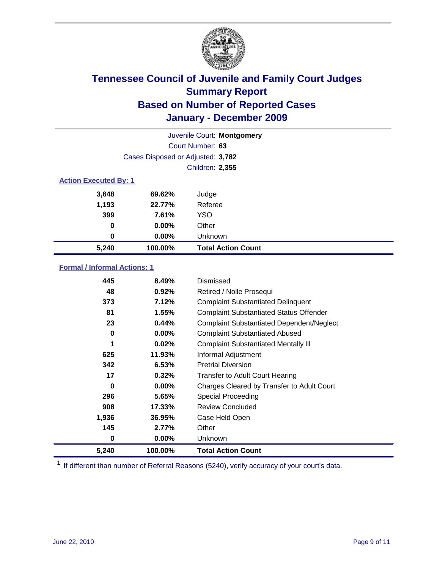

| Juvenile Court: Montgomery   |                                   |                           |  |  |  |
|------------------------------|-----------------------------------|---------------------------|--|--|--|
|                              | Court Number: 63                  |                           |  |  |  |
|                              | Cases Disposed or Adjusted: 3,782 |                           |  |  |  |
|                              | <b>Children: 2,355</b>            |                           |  |  |  |
| <b>Action Executed By: 1</b> |                                   |                           |  |  |  |
| 3,648                        | 69.62%                            | Judge                     |  |  |  |
| 1,193                        | 22.77%                            | Referee                   |  |  |  |
| 399                          | 7.61%                             | YSO                       |  |  |  |
| $\bf{0}$                     | $0.00\%$                          | Other                     |  |  |  |
| 0                            | 0.00%                             | Unknown                   |  |  |  |
| 5,240                        | 100.00%                           | <b>Total Action Count</b> |  |  |  |

### **Formal / Informal Actions: 1**

| 445   | 8.49%     | Dismissed                                        |
|-------|-----------|--------------------------------------------------|
| 48    | 0.92%     | Retired / Nolle Prosequi                         |
| 373   | 7.12%     | <b>Complaint Substantiated Delinquent</b>        |
| 81    | 1.55%     | <b>Complaint Substantiated Status Offender</b>   |
| 23    | 0.44%     | <b>Complaint Substantiated Dependent/Neglect</b> |
| 0     | $0.00\%$  | <b>Complaint Substantiated Abused</b>            |
| 1     | 0.02%     | <b>Complaint Substantiated Mentally III</b>      |
| 625   | 11.93%    | Informal Adjustment                              |
| 342   | 6.53%     | <b>Pretrial Diversion</b>                        |
| 17    | 0.32%     | <b>Transfer to Adult Court Hearing</b>           |
| 0     | $0.00\%$  | Charges Cleared by Transfer to Adult Court       |
| 296   | 5.65%     | <b>Special Proceeding</b>                        |
| 908   | $17.33\%$ | <b>Review Concluded</b>                          |
| 1,936 | 36.95%    | Case Held Open                                   |
| 145   | 2.77%     | Other                                            |
| 0     | $0.00\%$  | <b>Unknown</b>                                   |
| 5,240 | 100.00%   | <b>Total Action Count</b>                        |

<sup>1</sup> If different than number of Referral Reasons (5240), verify accuracy of your court's data.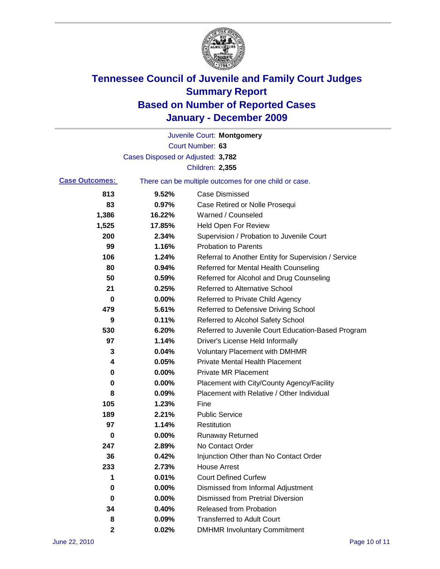

|                                                                                |                                   | Juvenile Court: Montgomery                           |
|--------------------------------------------------------------------------------|-----------------------------------|------------------------------------------------------|
|                                                                                |                                   | Court Number: 63                                     |
|                                                                                | Cases Disposed or Adjusted: 3,782 |                                                      |
|                                                                                |                                   | <b>Children: 2,355</b>                               |
| <b>Case Outcomes:</b><br>There can be multiple outcomes for one child or case. |                                   |                                                      |
| 813                                                                            | 9.52%                             | <b>Case Dismissed</b>                                |
| 83                                                                             | 0.97%                             | Case Retired or Nolle Prosequi                       |
| 1,386                                                                          | 16.22%                            | Warned / Counseled                                   |
| 1,525                                                                          | 17.85%                            | <b>Held Open For Review</b>                          |
| 200                                                                            | 2.34%                             | Supervision / Probation to Juvenile Court            |
| 99                                                                             | 1.16%                             | <b>Probation to Parents</b>                          |
| 106                                                                            | 1.24%                             | Referral to Another Entity for Supervision / Service |
| 80                                                                             | 0.94%                             | Referred for Mental Health Counseling                |
| 50                                                                             | 0.59%                             | Referred for Alcohol and Drug Counseling             |
| 21                                                                             | 0.25%                             | <b>Referred to Alternative School</b>                |
| 0                                                                              | 0.00%                             | Referred to Private Child Agency                     |
| 479                                                                            | 5.61%                             | Referred to Defensive Driving School                 |
| 9                                                                              | 0.11%                             | Referred to Alcohol Safety School                    |
| 530                                                                            | 6.20%                             | Referred to Juvenile Court Education-Based Program   |
| 97                                                                             | 1.14%                             | Driver's License Held Informally                     |
| 3                                                                              | 0.04%                             | <b>Voluntary Placement with DMHMR</b>                |
| 4                                                                              | 0.05%                             | <b>Private Mental Health Placement</b>               |
| 0                                                                              | 0.00%                             | <b>Private MR Placement</b>                          |
| 0                                                                              | 0.00%                             | Placement with City/County Agency/Facility           |
| 8                                                                              | 0.09%                             | Placement with Relative / Other Individual           |
| 105                                                                            | 1.23%                             | Fine                                                 |
| 189                                                                            | 2.21%                             | <b>Public Service</b>                                |
| 97                                                                             | 1.14%                             | Restitution                                          |
| 0                                                                              | 0.00%                             | <b>Runaway Returned</b>                              |
| 247                                                                            | 2.89%                             | No Contact Order                                     |
| 36                                                                             | 0.42%                             | Injunction Other than No Contact Order               |
| 233                                                                            | 2.73%                             | <b>House Arrest</b>                                  |
| 1                                                                              | 0.01%                             | <b>Court Defined Curfew</b>                          |
| 0                                                                              | 0.00%                             | Dismissed from Informal Adjustment                   |
| 0                                                                              | 0.00%                             | <b>Dismissed from Pretrial Diversion</b>             |
| 34                                                                             | 0.40%                             | Released from Probation                              |
| 8                                                                              | 0.09%                             | <b>Transferred to Adult Court</b>                    |
| 2                                                                              | 0.02%                             | <b>DMHMR Involuntary Commitment</b>                  |